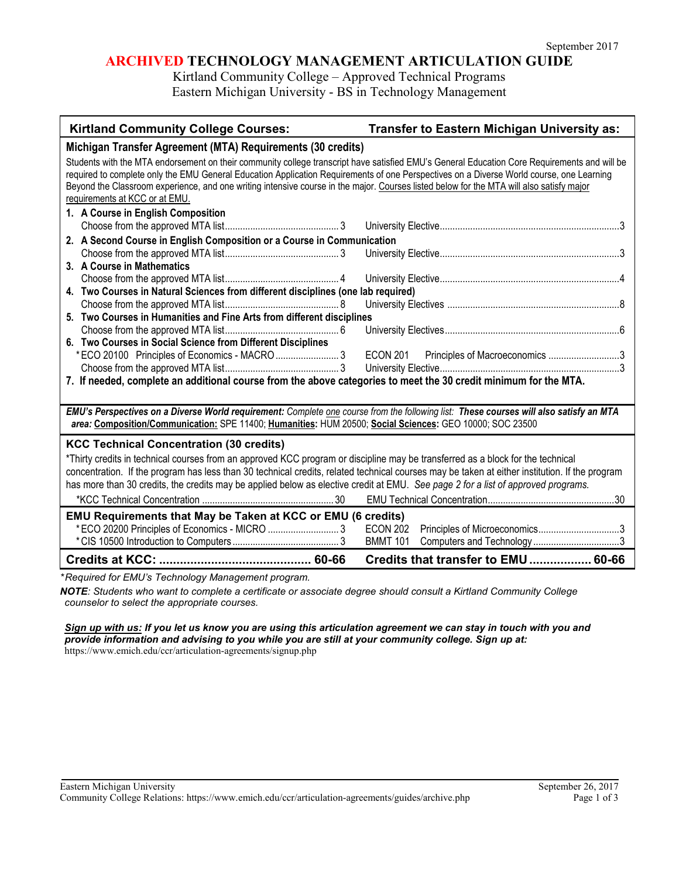## **ARCHIVED TECHNOLOGY MANAGEMENT ARTICULATION GUIDE**

Kirtland Community College – Approved Technical Programs Eastern Michigan University - BS in Technology Management

| <b>Kirtland Community College Courses:</b>                                                                                                                                                                                                                                                                                                                                                                                                                             | Transfer to Eastern Michigan University as:       |
|------------------------------------------------------------------------------------------------------------------------------------------------------------------------------------------------------------------------------------------------------------------------------------------------------------------------------------------------------------------------------------------------------------------------------------------------------------------------|---------------------------------------------------|
| Michigan Transfer Agreement (MTA) Requirements (30 credits)                                                                                                                                                                                                                                                                                                                                                                                                            |                                                   |
| Students with the MTA endorsement on their community college transcript have satisfied EMU's General Education Core Requirements and will be<br>required to complete only the EMU General Education Application Requirements of one Perspectives on a Diverse World course, one Learning<br>Beyond the Classroom experience, and one writing intensive course in the major. Courses listed below for the MTA will also satisfy major<br>requirements at KCC or at EMU. |                                                   |
| 1. A Course in English Composition                                                                                                                                                                                                                                                                                                                                                                                                                                     |                                                   |
|                                                                                                                                                                                                                                                                                                                                                                                                                                                                        |                                                   |
| 2. A Second Course in English Composition or a Course in Communication                                                                                                                                                                                                                                                                                                                                                                                                 |                                                   |
|                                                                                                                                                                                                                                                                                                                                                                                                                                                                        |                                                   |
| 3. A Course in Mathematics                                                                                                                                                                                                                                                                                                                                                                                                                                             |                                                   |
| 4. Two Courses in Natural Sciences from different disciplines (one lab required)                                                                                                                                                                                                                                                                                                                                                                                       |                                                   |
|                                                                                                                                                                                                                                                                                                                                                                                                                                                                        |                                                   |
| 5. Two Courses in Humanities and Fine Arts from different disciplines                                                                                                                                                                                                                                                                                                                                                                                                  |                                                   |
|                                                                                                                                                                                                                                                                                                                                                                                                                                                                        |                                                   |
| 6. Two Courses in Social Science from Different Disciplines                                                                                                                                                                                                                                                                                                                                                                                                            |                                                   |
| * ECO 20100 Principles of Economics - MACRO 3                                                                                                                                                                                                                                                                                                                                                                                                                          | <b>ECON 201</b><br>Principles of Macroeconomics 3 |
|                                                                                                                                                                                                                                                                                                                                                                                                                                                                        |                                                   |
| 7. If needed, complete an additional course from the above categories to meet the 30 credit minimum for the MTA.                                                                                                                                                                                                                                                                                                                                                       |                                                   |
|                                                                                                                                                                                                                                                                                                                                                                                                                                                                        |                                                   |
| EMU's Perspectives on a Diverse World requirement: Complete one course from the following list: These courses will also satisfy an MTA<br>area: Composition/Communication: SPE 11400; Humanities: HUM 20500; Social Sciences: GEO 10000; SOC 23500                                                                                                                                                                                                                     |                                                   |
| <b>KCC Technical Concentration (30 credits)</b>                                                                                                                                                                                                                                                                                                                                                                                                                        |                                                   |
| *Thirty credits in technical courses from an approved KCC program or discipline may be transferred as a block for the technical                                                                                                                                                                                                                                                                                                                                        |                                                   |
| concentration. If the program has less than 30 technical credits, related technical courses may be taken at either institution. If the program                                                                                                                                                                                                                                                                                                                         |                                                   |
| has more than 30 credits, the credits may be applied below as elective credit at EMU. See page 2 for a list of approved programs.                                                                                                                                                                                                                                                                                                                                      |                                                   |
|                                                                                                                                                                                                                                                                                                                                                                                                                                                                        |                                                   |
| EMU Requirements that May be Taken at KCC or EMU (6 credits)                                                                                                                                                                                                                                                                                                                                                                                                           |                                                   |
| * ECO 20200 Principles of Economics - MICRO  3                                                                                                                                                                                                                                                                                                                                                                                                                         | <b>ECON 202</b>                                   |
|                                                                                                                                                                                                                                                                                                                                                                                                                                                                        | <b>BMMT 101</b>                                   |
|                                                                                                                                                                                                                                                                                                                                                                                                                                                                        | Credits that transfer to EMU 60-66                |
|                                                                                                                                                                                                                                                                                                                                                                                                                                                                        |                                                   |

*\*Required for EMU's Technology Management program.* 

*NOTE: Students who want to complete a certificate or associate degree should consult a Kirtland Community College counselor to select the appropriate courses.* 

*Sign up with us: If you let us know you are using this articulation agreement we can stay in touch with you and provide information and advising to you while you are still at your community college. Sign up at:*  https://www.emich.edu/ccr/articulation-agreements/signup.php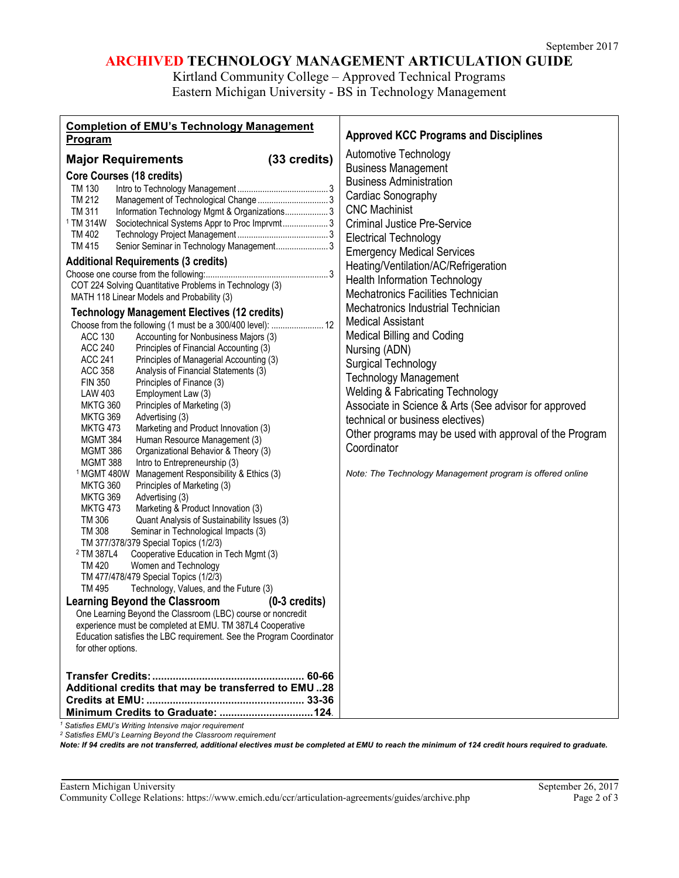# **ARCHIVED TECHNOLOGY MANAGEMENT ARTICULATION GUIDE**

Kirtland Community College – Approved Technical Programs Eastern Michigan University - BS in Technology Management

*<sup>1</sup> Satisfies EMU's Writing Intensive major requirement*

*<sup>2</sup> Satisfies EMU's Learning Beyond the Classroom requirement*

*Note: If 94 credits are not transferred, additional electives must be completed at EMU to reach the minimum of 124 credit hours required to graduate.*